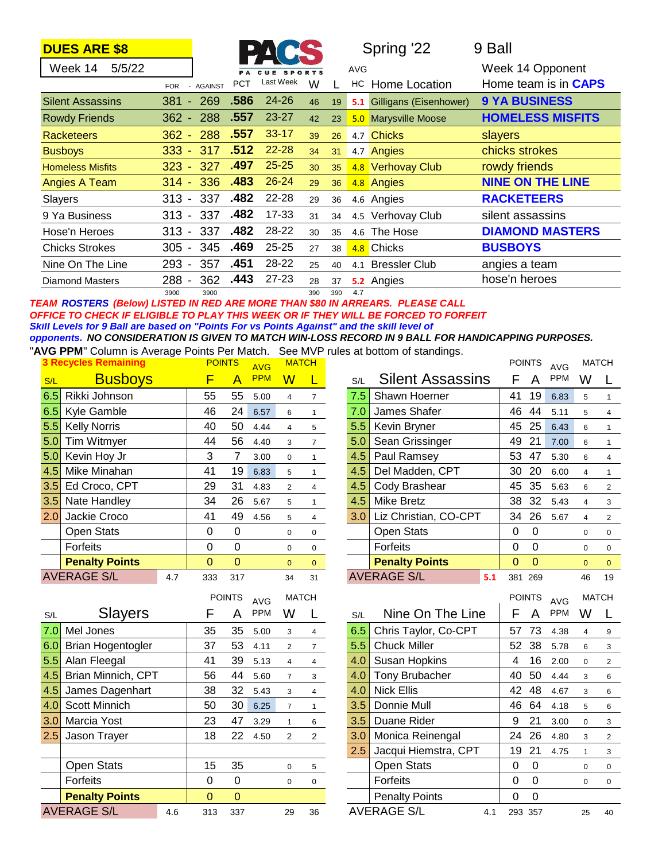| <b>DUES ARE \$8</b> |  |     |                |            | PACS                 |   | Spring '22              | 9 Ball                      |
|---------------------|--|-----|----------------|------------|----------------------|---|-------------------------|-----------------------------|
| 5/5/22<br>Week 14   |  |     |                |            | <b>PA CUE SPORTS</b> |   | <b>AVG</b>              | Week 14 Opponent            |
|                     |  | FOR | <b>AGAINST</b> | <b>PCT</b> | Last Week            | W | <b>HC</b> Home Location | Home team is in <b>CAPS</b> |

|                         | FOR - AGAINST<br>.        |                   | v v |     | . שו | TIUITIG LUUQUUT        | поше капп в ш <b>одго</b> |
|-------------------------|---------------------------|-------------------|-----|-----|------|------------------------|---------------------------|
| <b>Silent Assassins</b> | .586<br>269<br>381<br>757 | $24 - 26$         | 46  | 19  | 5.1  | Gilligans (Eisenhower) | <b>9 YA BUSINESS</b>      |
| <b>Rowdy Friends</b>    | .557<br>$362 - 288$       | $23 - 27$         | 42  | 23  |      | 5.0 Marysville Moose   | <b>HOMELESS MISFITS</b>   |
| <b>Racketeers</b>       | .557<br>288<br>$362 -$    | $33 - 17$         | 39  | 26  |      | 4.7 Chicks             | slayers                   |
| <b>Busboys</b>          | .512<br>317<br>$333 -$    | $22 - 28$         | 34  | 31  |      | 4.7 Angies             | chicks strokes            |
| <b>Homeless Misfits</b> | .497<br>327<br>$323 -$    | $25 - 25$         | 30  | 35  |      | 4.8 Verhovay Club      | rowdy friends             |
| Angies A Team           | .483<br>336<br>$314 -$    | $26 - 24$         | 29  | 36  |      | 4.8 Angies             | <b>NINE ON THE LINE</b>   |
| Slayers                 | 337<br>$313 -$            | .482<br>22-28     | 29  | 36  |      | 4.6 Angies             | <b>RACKETEERS</b>         |
| 9 Ya Business           | 337<br>$313 -$            | .482<br>$17 - 33$ | 31  | 34  |      | 4.5 Verhovay Club      | silent assassins          |
| Hose'n Heroes           | .482<br>337<br>$313 -$    | 28-22             | 30  | 35  |      | 4.6 The Hose           | <b>DIAMOND MASTERS</b>    |
| <b>Chicks Strokes</b>   | .469<br>345<br>305 -      | $25 - 25$         | 27  | 38  |      | 4.8 Chicks             | <b>BUSBOYS</b>            |
| Nine On The Line        | .451<br>357<br>$293 -$    | 28-22             | 25  | 40  | 4.1  | <b>Bressler Club</b>   | angies a team             |
| <b>Diamond Masters</b>  | 362<br>288 -              | .443<br>$27 - 23$ | 28  | 37  |      | 5.2 Angies             | hose'n heroes             |
|                         | 3900<br>3900              |                   | 390 | 390 | 4.7  |                        |                           |

### *TEAM ROSTERS (Below) LISTED IN RED ARE MORE THAN \$80 IN ARREARS. PLEASE CALL OFFICE TO CHECK IF ELIGIBLE TO PLAY THIS WEEK OR IF THEY WILL BE FORCED TO FORFEIT Skill Levels for 9 Ball are based on "Points For vs Points Against" and the skill level of opponents. NO CONSIDERATION IS GIVEN TO MATCH WIN-LOSS RECORD IN 9 BALL FOR HANDICAPPING PURPOSES.*

"**AVG PPM**" Column is Average Points Per Match. See MVP rules at bottom of standings.

|                  | <b>3 Recycles Remaining</b> |     | <b>POINTS</b> |              | <b>AVG</b> | <b>MATCH</b> |                |     |                         |     |                | <b>POINTS</b> | <b>AVG</b> | <b>MATCH</b> |                |
|------------------|-----------------------------|-----|---------------|--------------|------------|--------------|----------------|-----|-------------------------|-----|----------------|---------------|------------|--------------|----------------|
| S/L              | <b>Busboys</b>              |     | F             |              | <b>PPM</b> | ${\sf W}$    |                | S/L | <b>Silent Assassins</b> |     |                | Α             | <b>PPM</b> | W            | $\mathbf{L}$   |
| 6.5              | Rikki Johnson               |     | 55            | 55           | 5.00       | 4            | $\overline{7}$ | 7.5 | Shawn Hoerner           |     | 41             | 19            | 6.83       | 5            |                |
| 6.5              | Kyle Gamble                 |     | 46            | 24           | 6.57       | 6            | $\overline{1}$ | 7.0 | James Shafer            |     | 46             | 44            | 5.11       | 5            | 4              |
| 5.5              | <b>Kelly Norris</b>         |     | 40            | 50           | 4.44       | 4            | 5              | 5.5 | Kevin Bryner            |     | 45             | 25            | 6.43       | 6            |                |
| 5.0              | Tim Witmyer                 |     | 44            | 56           | 4.40       | 3            | $\overline{7}$ | 5.0 | Sean Grissinger         |     | 49             | 21            | 7.00       | 6            |                |
| 5.0 <sub>1</sub> | Kevin Hoy Jr                |     | 3             |              | 3.00       | $\Omega$     |                | 4.5 | Paul Ramsey             |     | 53             | 47            | 5.30       | 6            | 4              |
| 4.5              | Mike Minahan                |     | 41            | 19           | 6.83       | 5            |                | 4.5 | Del Madden, CPT         |     | 30             | 20            | 6.00       | 4            |                |
| 3.5              | Ed Croco, CPT               |     | 29            | 31           | 4.83       | 2            | $\overline{4}$ | 4.5 | Cody Brashear           |     | 45             | 35            | 5.63       | 6            | $\overline{2}$ |
| 3.5              | Nate Handley                |     | 34            | 26           | 5.67       | 5            |                | 4.5 | Mike Bretz              |     | 38             | 32            | 5.43       | 4            | 3              |
| 2.0              | Jackie Croco                |     | 41            | 49           | 4.56       | 5            | 4              | 3.0 | Liz Christian, CO-CPT   |     | 34             | 26            | 5.67       | 4            | 2              |
|                  | Open Stats                  |     | 0             | 0            |            | 0            | 0              |     | <b>Open Stats</b>       |     | 0              | $\Omega$      |            | 0            | 0              |
|                  | Forfeits                    |     | 0             | 0            |            | $\mathbf 0$  | 0              |     | Forfeits                |     | 0              | 0             |            | 0            | 0              |
|                  | <b>Penalty Points</b>       |     | $\mathbf{0}$  | $\mathbf{0}$ |            | $\mathbf{0}$ | $\mathbf{0}$   |     | <b>Penalty Points</b>   |     | $\overline{0}$ | $\Omega$      |            | $\mathbf{0}$ | $\mathbf 0$    |
|                  | <b>AVERAGE S/L</b>          | 4.7 | 333           | 317          |            | 34           | 31             |     | <b>AVERAGE S/L</b>      | 5.1 |                | 381 269       |            | 46           | 19             |

| S/L                             | <b>Busboys</b>            | F              | A              | <b>PPM</b>        | $\overline{\mathsf{W}}$ | L              | S/L | <b>Silent Assassins</b>   | F           | A                | <b>PPM</b>               | W              |                |
|---------------------------------|---------------------------|----------------|----------------|-------------------|-------------------------|----------------|-----|---------------------------|-------------|------------------|--------------------------|----------------|----------------|
| 6.5                             | Rikki Johnson             | 55             | 55             | 5.00              | 4                       | $\overline{7}$ | 7.5 | Shawn Hoerner             | 41          | 19               | 6.83                     | 5              | $\mathbf{1}$   |
| 6.5                             | Kyle Gamble               | 46             | 24             | 6.57              | 6                       | $\mathbf{1}$   | 7.0 | James Shafer              | 46          | 44               | 5.11                     | 5              | $\overline{4}$ |
| 5.5                             | <b>Kelly Norris</b>       | 40             | 50             | 4.44              | $\overline{4}$          | 5              | 5.5 | Kevin Bryner              | 45          | 25               | 6.43                     | 6              | $\mathbf{1}$   |
| 5.0                             | Tim Witmyer               | 44             | 56             | 4.40              | 3                       | $\overline{7}$ | 5.0 | Sean Grissinger           | 49          | 21               | 7.00                     | 6              | $\mathbf{1}$   |
| 5.0                             | Kevin Hoy Jr              | 3              | $\overline{7}$ | 3.00              | $\pmb{0}$               | $\mathbf{1}$   | 4.5 | Paul Ramsey               | 53          | 47               | 5.30                     | 6              | 4              |
| 4.5                             | Mike Minahan              | 41             | 19             | 6.83              | 5                       | $\mathbf{1}$   | 4.5 | Del Madden, CPT           | 30          | 20               | 6.00                     | 4              | $\mathbf{1}$   |
| 3.5                             | Ed Croco, CPT             | 29             | 31             | 4.83              | $\overline{2}$          | $\overline{4}$ | 4.5 | Cody Brashear             | 45          | 35               | 5.63                     | 6              | $\overline{2}$ |
| 3.5                             | Nate Handley              | 34             | 26             | 5.67              | 5                       | $\mathbf{1}$   | 4.5 | <b>Mike Bretz</b>         | 38          | 32               | 5.43                     | $\overline{4}$ | 3              |
| 2.0                             | Jackie Croco              | 41             | 49             | 4.56              | 5                       | $\overline{4}$ | 3.0 | Liz Christian, CO-CPT     | 34          | 26               | 5.67                     | $\overline{4}$ | $\overline{2}$ |
|                                 | Open Stats                | $\mathbf 0$    | $\mathbf 0$    |                   | $\mathbf 0$             | 0              |     | <b>Open Stats</b>         | 0           | $\mathbf 0$      |                          | $\mathbf 0$    | 0              |
|                                 | Forfeits                  | $\mathbf 0$    | $\mathbf 0$    |                   | 0                       | 0              |     | Forfeits                  | 0           | $\boldsymbol{0}$ |                          | 0              | 0              |
|                                 | <b>Penalty Points</b>     | $\overline{0}$ | $\overline{0}$ |                   | $\mathbf{0}$            | $\overline{0}$ |     | <b>Penalty Points</b>     | 0           | $\overline{0}$   |                          | $\mathbf{0}$   | $\overline{0}$ |
|                                 | <b>AVERAGE S/L</b><br>4.7 | 333            | 317            |                   | 34                      | 31             |     | <b>AVERAGE S/L</b><br>5.1 | 381         | 269              |                          | 46             | 19             |
|                                 |                           |                |                |                   |                         |                |     |                           |             |                  |                          |                |                |
|                                 |                           |                | <b>POINTS</b>  |                   | <b>MATCH</b>            |                |     |                           |             | <b>POINTS</b>    |                          | <b>MATCH</b>   |                |
| S/L                             | <b>Slayers</b>            | F              | Α              | <b>AVG</b><br>PPM | W                       | L              | S/L | Nine On The Line          | F           | A                | <b>AVG</b><br><b>PPM</b> | W              | L              |
| 7.0                             | Mel Jones                 | 35             | 35             | 5.00              | 3                       | $\overline{4}$ | 6.5 | Chris Taylor, Co-CPT      | 57          | 73               | 4.38                     | 4              | 9              |
| 6.0                             | <b>Brian Hogentogler</b>  | 37             | 53             | 4.11              | $\overline{2}$          | $\overline{7}$ | 5.5 | <b>Chuck Miller</b>       | 52          | 38               | 5.78                     | 6              | 3              |
|                                 | Alan Fleegal              | 41             | 39             | 5.13              | $\overline{4}$          | $\overline{4}$ | 4.0 | Susan Hopkins             | 4           | 16               | 2.00                     | 0              | $\overline{2}$ |
|                                 | Brian Minnich, CPT        | 56             | 44             | 5.60              | $\overline{7}$          | 3              | 4.0 | <b>Tony Brubacher</b>     | 40          | 50               | 4.44                     | 3              | 6              |
|                                 | James Dagenhart           | 38             | 32             | 5.43              | 3                       | $\overline{4}$ | 4.0 | <b>Nick Ellis</b>         | 42          | 48               | 4.67                     | 3              | 6              |
|                                 | <b>Scott Minnich</b>      | 50             | 30             | 6.25              | $\overline{7}$          | $\mathbf{1}$   | 3.5 | Donnie Mull               | 46          | 64               | 4.18                     | 5              | 6              |
| 5.5<br>4.5<br>4.5<br>4.0<br>3.0 | Marcia Yost               | 23             | 47             | 3.29              | $\mathbf{1}$            | 6              | 3.5 | Duane Rider               | 9           | 21               | 3.00                     | $\pmb{0}$      | 3              |
|                                 | Jason Trayer              | 18             | 22             | 4.50              | $\overline{2}$          | $2^{\circ}$    | 3.0 | Monica Reinengal          | 24          | 26               | 4.80                     | 3              | $\overline{2}$ |
| 2.5                             |                           |                |                |                   |                         |                | 2.5 | Jacqui Hiemstra, CPT      | 19          | 21               | 4.75                     | $\mathbf{1}$   | 3              |
|                                 | <b>Open Stats</b>         | 15             | 35             |                   | $\pmb{0}$               | 5              |     | <b>Open Stats</b>         | 0           | 0                |                          | $\pmb{0}$      | 0              |
|                                 | Forfeits                  | $\mathbf 0$    | $\pmb{0}$      |                   | $\mathbf 0$             | 0              |     | Forfeits                  | $\mathbf 0$ | $\mathbf 0$      |                          | 0              | 0              |

MATCH

AVERAGE S/L 4.1 293 357 25 40

|     |                          |     |          | <b>POINTS</b> | <b>AVG</b> | <b>MATCH</b>   |                |     |                       |     |          | <b>POINTS</b> | <b>AVG</b> | <b>MATCH</b> |          |
|-----|--------------------------|-----|----------|---------------|------------|----------------|----------------|-----|-----------------------|-----|----------|---------------|------------|--------------|----------|
| S/L | <b>Slayers</b>           |     | F        | A             | <b>PPM</b> | w              |                | S/L | Nine On The Line      |     |          | A             | <b>PPM</b> | w            | L        |
| 7.0 | Mel Jones                |     | 35       | 35            | 5.00       | 3              | $\overline{4}$ | 6.5 | Chris Taylor, Co-CPT  |     | 57       | 73            | 4.38       | 4            | 9        |
| 6.0 | <b>Brian Hogentogler</b> |     | 37       | 53            | 4.11       | $\overline{2}$ | $\overline{7}$ | 5.5 | <b>Chuck Miller</b>   |     | 52       | 38            | 5.78       | 6            | 3        |
| 5.5 | Alan Fleegal             |     | 41       | 39            | 5.13       | 4              | 4              | 4.0 | <b>Susan Hopkins</b>  |     | 4        | 16            | 2.00       | 0            | 2        |
| 4.5 | Brian Minnich, CPT       |     | 56       | 44            | 5.60       |                | 3              | 4.0 | Tony Brubacher        |     | 40       | 50            | 4.44       | 3            | 6        |
| 4.5 | James Dagenhart          |     | 38       | 32            | 5.43       | 3              | 4              | 4.0 | <b>Nick Ellis</b>     |     | 42       | 48            | 4.67       | 3            | 6        |
| 4.0 | Scott Minnich            |     | 50       | 30            | 6.25       | $\overline{7}$ |                | 3.5 | Donnie Mull           |     | 46       | 64            | 4.18       | 5            | 6        |
| 3.0 | Marcia Yost              |     | 23       | 47            | 3.29       |                | 6              | 3.5 | Duane Rider           |     | 9        | 21            | 3.00       | 0            | 3        |
| 2.5 | Jason Trayer             |     | 18       | 22            | 4.50       | 2              | $\overline{2}$ | 3.0 | Monica Reinengal      |     | 24       | 26            | 4.80       | 3            |          |
|     |                          |     |          |               |            |                |                | 2.5 | Jacqui Hiemstra, CPT  |     | 19       | 21            | 4.75       |              | 3        |
|     | <b>Open Stats</b>        |     | 15       | 35            |            | 0              | 5              |     | <b>Open Stats</b>     |     | 0        | $\Omega$      |            | 0            | $\Omega$ |
|     | Forfeits                 |     | 0        | 0             |            | 0              | $\mathbf 0$    |     | Forfeits              |     | 0        | 0             |            | 0            | 0        |
|     | <b>Penalty Points</b>    |     | $\Omega$ | $\Omega$      |            |                |                |     | <b>Penalty Points</b> |     | $\Omega$ | $\Omega$      |            |              |          |
|     | <b>AVERAGE S/L</b>       | 4.6 | 313      | 337           |            | 29             | 36             |     | <b>AVERAGE S/L</b>    | 4.1 |          | 293 357       |            | 25           | 40       |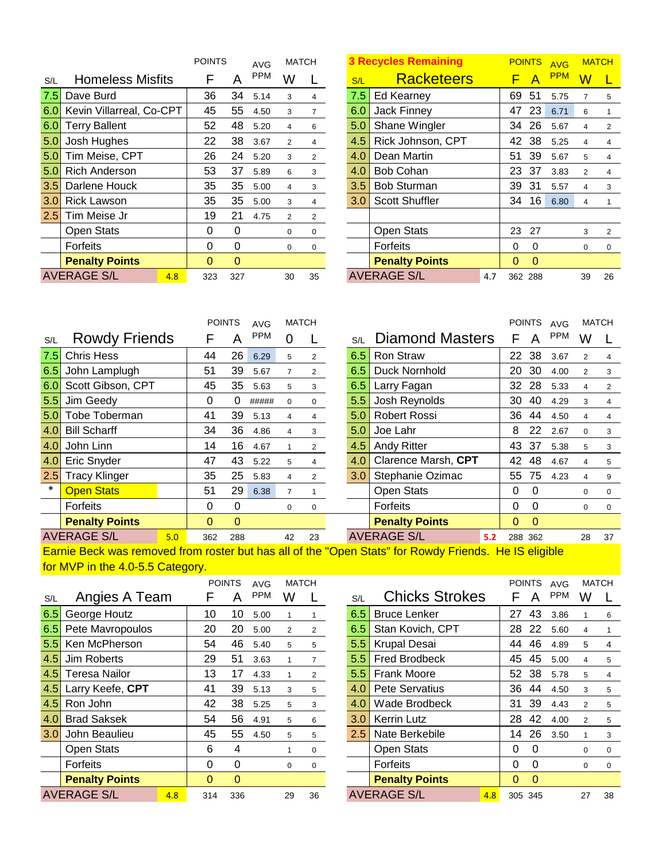|     |                           | <b>POINTS</b> |          | <b>AVG</b> | <b>MATCH</b>   |                | <b>3 Recycles Remaining</b> |                       |     |    | <b>POINTS</b> | <b>AVG</b> |           | <b>MATCH</b>   |
|-----|---------------------------|---------------|----------|------------|----------------|----------------|-----------------------------|-----------------------|-----|----|---------------|------------|-----------|----------------|
| S/L | <b>Homeless Misfits</b>   | F             | Α        | <b>PPM</b> | W              |                | S/L                         | <b>Racketeers</b>     |     | F. | A             | <b>PPM</b> | ${\sf W}$ |                |
| 7.5 | Dave Burd                 | 36            | 34       | 5.14       | 3              | $\overline{4}$ | 7.5                         | Ed Kearney            |     | 69 | 51            | 5.75       | 7         | 5              |
| 6.0 | Kevin Villarreal, Co-CPT  | 45            | 55       | 4.50       | 3              | $\overline{7}$ | 6.0                         | Jack Finney           |     | 47 | 23            | 6.71       | 6         | $\mathbf{1}$   |
| 6.0 | <b>Terry Ballent</b>      | 52            | 48       | 5.20       | $\overline{4}$ | 6              | 5.0                         | Shane Wingler         |     | 34 | 26            | 5.67       | 4         | $\overline{2}$ |
| 5.0 | Josh Hughes               | 22            | 38       | 3.67       | 2              | $\overline{4}$ | 4.5                         | Rick Johnson, CPT     |     | 42 | 38            | 5.25       | 4         | 4              |
| 5.0 | Tim Meise, CPT            | 26            | 24       | 5.20       | 3              | $\overline{2}$ | 4.0                         | Dean Martin           |     | 51 | 39            | 5.67       | 5         | 4              |
| 5.0 | <b>Rich Anderson</b>      | 53            | 37       | 5.89       | 6              | 3              | 4.0                         | <b>Bob Cohan</b>      |     | 23 | -37           | 3.83       | 2         | 4              |
| 3.5 | Darlene Houck             | 35            | 35       | 5.00       | $\overline{4}$ | 3              | 3.5                         | <b>Bob Sturman</b>    |     | 39 | 31            | 5.57       | 4         | 3              |
| 3.0 | <b>Rick Lawson</b>        | 35            | 35       | 5.00       | 3              | $\overline{4}$ | 3.0                         | <b>Scott Shuffler</b> |     | 34 | 16            | 6.80       | 4         |                |
| 2.5 | Tim Meise Jr              | 19            | 21       | 4.75       | 2              | $\overline{2}$ |                             |                       |     |    |               |            |           |                |
|     | Open Stats                | 0             | $\Omega$ |            | $\mathbf 0$    | 0              |                             | <b>Open Stats</b>     |     | 23 | 27            |            | 3         | 2              |
|     | Forfeits                  | 0             | $\Omega$ |            | $\mathbf 0$    | 0              |                             | Forfeits              |     | 0  | $\Omega$      |            | 0         | $\mathbf 0$    |
|     | <b>Penalty Points</b>     | $\mathbf{0}$  | $\Omega$ |            |                |                |                             | <b>Penalty Points</b> |     | 0  | $\Omega$      |            |           |                |
|     | <b>AVERAGE S/L</b><br>4.8 | 323           | 327      |            | 30             | 35             |                             | <b>AVERAGE S/L</b>    | 4.7 |    | 362 288       |            | 39        | 26             |

|               | <b>3 Recycles Remaining</b> |     |         | <b>POINTS</b> | <b>AVG</b> |                | <b>MATCH</b>   |
|---------------|-----------------------------|-----|---------|---------------|------------|----------------|----------------|
| S/L           | <b>Racketeers</b>           |     |         | A             | <b>PPM</b> | w              |                |
| 7.5           | Ed Kearney                  |     | 69      | 51            | 5.75       | 7              | 5              |
| 6.0           | <b>Jack Finney</b>          |     | 47      | 23            | 6.71       | 6              | 1              |
| 5.0           | Shane Wingler               |     | 34      | 26            | 5.67       | 4              | 2              |
| 4.5           | Rick Johnson, CPT           |     | 42      | 38            | 5.25       | 4              | 4              |
| 4.0           | Dean Martin                 |     | 51      | 39            | 5.67       | 5              | 4              |
| 4.0           | <b>Bob Cohan</b>            |     | 23      | 37            | 3.83       | $\mathfrak{p}$ | 4              |
| $3.5^{\circ}$ | <b>Bob Sturman</b>          |     | 39      | 31            | 5.57       | 4              | 3              |
| 3.0           | <b>Scott Shuffler</b>       |     | 34      | 16            | 6.80       | 4              | 1              |
|               |                             |     |         |               |            |                |                |
|               | <b>Open Stats</b>           |     | 23      | 27            |            | 3              | $\overline{2}$ |
|               | <b>Forfeits</b>             |     | 0       | 0             |            | 0              | 0              |
|               | <b>Penalty Points</b>       |     | 0       | 0             |            |                |                |
|               | <b>AVERAGE S/L</b>          | 4.7 | 362 288 |               |            | 39             | 26             |

|        |                           |          | <b>POINTS</b> | <b>AVG</b> |                | <b>MATCH</b>   |     |                        |     | <b>POINTS</b> |          | AVG        | <b>MATCH</b>   |          |
|--------|---------------------------|----------|---------------|------------|----------------|----------------|-----|------------------------|-----|---------------|----------|------------|----------------|----------|
| S/L    | <b>Rowdy Friends</b>      |          | Α             | <b>PPM</b> | 0              |                | S/L | <b>Diamond Masters</b> |     | F             | A        | <b>PPM</b> | W              |          |
| 7.5    | <b>Chris Hess</b>         | 44       | 26            | 6.29       | 5              | $\overline{2}$ | 6.5 | Ron Straw              |     | 22            | 38       | 3.67       | $\overline{2}$ | 4        |
| 6.5    | John Lamplugh             | 51       | 39            | 5.67       | $\overline{7}$ | $\overline{2}$ | 6.5 | <b>Duck Nornhold</b>   |     | 20            | 30       | 4.00       | $\overline{2}$ | 3        |
| 6.0    | Scott Gibson, CPT         | 45       | 35            | 5.63       | 5              | 3              | 6.5 | Larry Fagan            |     | 32            | 28       | 5.33       | $\overline{4}$ | 2        |
| 5.5    | Jim Geedy                 | 0        | 0             | #####      | $\mathbf{0}$   | 0              | 5.5 | Josh Reynolds          |     | 30            | 40       | 4.29       | 3              |          |
| 5.0    | Tobe Toberman             | 41       | 39            | 5.13       | 4              | 4              | 5.0 | Robert Rossi           |     | 36            | 44       | 4.50       | Δ              |          |
| 4.0    | <b>Bill Scharff</b>       | 34       | 36            | 4.86       | 4              | 3              | 5.0 | Joe Lahr               |     | 8             | 22       | 2.67       | $\mathbf 0$    | 3        |
| 4.0    | John Linn                 | 14       | 16            | 4.67       |                | $\overline{2}$ | 4.5 | <b>Andy Ritter</b>     |     | 43            | -37      | 5.38       | 5              | 3        |
| 4.0    | Eric Snyder               | 47       | 43            | 5.22       | 5              | 4              | 4.0 | Clarence Marsh, CPT    |     | 42            | 48       | 4.67       | 4              | 5        |
| 2.5    | <b>Tracy Klinger</b>      | 35       | 25            | 5.83       | 4              | $\overline{2}$ | 3.0 | Stephanie Ozimac       |     | 55            | 75       | 4.23       | 4              | 9        |
| $\ast$ | <b>Open Stats</b>         | 51       | 29            | 6.38       | $\overline{7}$ |                |     | <b>Open Stats</b>      |     | 0             | $\Omega$ |            | 0              | $\Omega$ |
|        | Forfeits                  | 0        | 0             |            | 0              | $\Omega$       |     | Forfeits               |     | 0             | 0        |            | $\mathbf 0$    | $\Omega$ |
|        | <b>Penalty Points</b>     | $\Omega$ | $\Omega$      |            |                |                |     | <b>Penalty Points</b>  |     | $\Omega$      | $\Omega$ |            |                |          |
|        | <b>AVERAGE S/L</b><br>5.0 | 362      | 288           |            | 42             | 23             |     | <b>AVERAGE S/L</b>     | 5.2 | 288 362       |          |            | 28             | 37       |
|        |                           |          |               |            |                |                |     |                        |     |               |          |            |                |          |

Earnie Beck was removed from roster but has all of the "Open Stats" for Rowdy Friends. He IS eligible for MVP in the 4.0-5.5 Category.

|     |                           |              | <b>POINTS</b> | AVG        | <b>MATCH</b> |                |               |                       |     |              | <b>POINTS</b> | <b>AVG</b> |                | <b>MATCH</b> |
|-----|---------------------------|--------------|---------------|------------|--------------|----------------|---------------|-----------------------|-----|--------------|---------------|------------|----------------|--------------|
| S/L | Angies A Team             |              | А             | <b>PPM</b> | W            |                | S/L           | <b>Chicks Strokes</b> |     | F            | А             | <b>PPM</b> | W              |              |
| 6.5 | George Houtz              | 10           | 10            | 5.00       |              |                | 6.5           | <b>Bruce Lenker</b>   |     | 27           | 43            | 3.86       |                | 6            |
| 6.5 | Pete Mavropoulos          | 20           | 20            | 5.00       | 2            | $\overline{2}$ | 6.5           | Stan Kovich, CPT      |     | 28           | 22            | 5.60       |                |              |
| 5.5 | Ken McPherson             | 54           | 46            | 5.40       | 5            | 5              | 5.5           | <b>Krupal Desai</b>   |     | 44           | 46            | 4.89       | 5              | 4            |
| 4.5 | Jim Roberts               | 29           | 51            | 3.63       |              | $\overline{7}$ | $5.5\,$       | <b>Fred Brodbeck</b>  |     | 45           | 45            | 5.00       | 4              | 5            |
| 4.5 | <b>Teresa Nailor</b>      | 13           | 17            | 4.33       |              | $\overline{2}$ | $5.5^{\circ}$ | <b>Frank Moore</b>    |     | 52           | 38            | 5.78       | 5              | 4            |
| 4.5 | Larry Keefe, CPT          | 41           | 39            | 5.13       | 3            | 5              | 4.0           | <b>Pete Servatius</b> |     | 36           | 44            | 4.50       | 3              | 5            |
| 4.5 | Ron John                  | 42           | 38            | 5.25       | 5            | 3              | 4.0           | Wade Brodbeck         |     | 31           | 39            | 4.43       | $\overline{2}$ | 5            |
| 4.0 | <b>Brad Saksek</b>        | 54           | 56            | 4.91       | 5            | 6              | 3.0           | <b>Kerrin Lutz</b>    |     | 28           | 42            | 4.00       | 2              | 5            |
| 3.0 | John Beaulieu             | 45           | 55            | 4.50       | 5            | 5              | $2.5^{\circ}$ | Nate Berkebile        |     | 14           | 26            | 3.50       |                | 3            |
|     | <b>Open Stats</b>         | 6            | 4             |            |              | 0              |               | Open Stats            |     | 0            | 0             |            | 0              | 0            |
|     | Forfeits                  | $\Omega$     | $\Omega$      |            | 0            | 0              |               | <b>Forfeits</b>       |     | 0            | $\Omega$      |            | 0              | $\mathbf 0$  |
|     | <b>Penalty Points</b>     | $\mathbf{0}$ | $\Omega$      |            |              |                |               | <b>Penalty Points</b> |     | $\mathbf{0}$ | $\Omega$      |            |                |              |
|     | <b>AVERAGE S/L</b><br>4.8 | 314          | 336           |            | 29           | 36             |               | <b>AVERAGE S/L</b>    | 4.8 |              | 305 345       |            | 27             | 38           |

| AVG  | <b>MATCH</b> |    |     |                       |     | <b>POINTS</b> |             | <b>AVG</b> | <b>MATCH</b> |             |
|------|--------------|----|-----|-----------------------|-----|---------------|-------------|------------|--------------|-------------|
| PPM  | W            |    | S/L | <b>Chicks Strokes</b> |     |               | А           | <b>PPM</b> | W            |             |
| 5.00 | 1            | 1  | 6.5 | <b>Bruce Lenker</b>   |     | 27            | 43          | 3.86       | 1            | 6           |
| 5.00 | 2            | 2  | 6.5 | Stan Kovich, CPT      |     | 28            | 22          | 5.60       | 4            | 1           |
| 5.40 | 5            | 5  | 5.5 | <b>Krupal Desai</b>   |     | 44            | 46          | 4.89       | 5            | 4           |
| 3.63 | 1            | 7  | 5.5 | <b>Fred Brodbeck</b>  |     | 45            | 45          | 5.00       | 4            | 5           |
| 4.33 | 1            | 2  | 5.5 | <b>Frank Moore</b>    |     | 52            | 38          | 5.78       | 5            | 4           |
| 5.13 | 3            | 5  | 4.0 | <b>Pete Servatius</b> |     | 36            | 44          | 4.50       | 3            | 5           |
| 5.25 | 5            | 3  | 4.0 | Wade Brodbeck         |     | 31            | 39          | 4.43       | 2            | 5           |
| 4.91 | 5            | 6  | 3.0 | <b>Kerrin Lutz</b>    |     | 28            | 42          | 4.00       | 2            | 5           |
| 4.50 | 5            | 5  | 2.5 | Nate Berkebile        |     | 14            | 26          | 3.50       | 1            | 3           |
|      | 1            | 0  |     | <b>Open Stats</b>     |     | 0             | 0           |            | 0            | 0           |
|      | 0            | 0  |     | Forfeits              |     | 0             | 0           |            | 0            | $\mathbf 0$ |
|      |              |    |     | <b>Penalty Points</b> |     | 0             | $\mathbf 0$ |            |              |             |
|      | 29           | 36 |     | <b>AVERAGE S/L</b>    | 4.8 | 305 345       |             |            | 27           | 38          |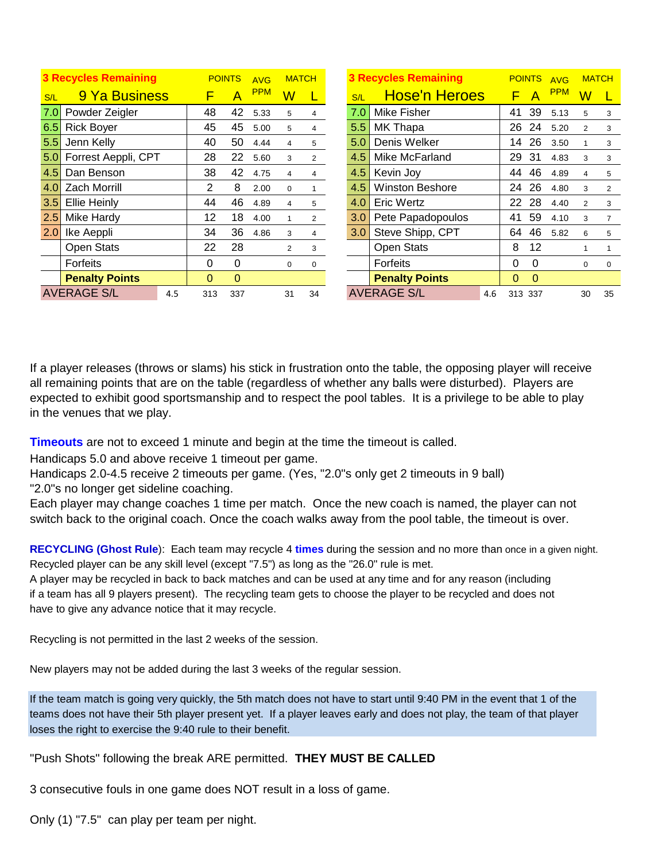|                  | <b>3 Recycles Remaining</b> |     |          | <b>POINTS</b> | <b>AVG</b> | <b>MATCH</b>            |                |     | <b>3 Recycles Remaining</b> |     |          | <b>POINTS</b>  | <b>AVG</b> | <b>MATCH</b>            |                |
|------------------|-----------------------------|-----|----------|---------------|------------|-------------------------|----------------|-----|-----------------------------|-----|----------|----------------|------------|-------------------------|----------------|
| S/L              | 9 Ya Business               |     |          | A             | <b>PPM</b> | $\overline{\mathsf{W}}$ |                | S/L | <b>Hose'n Heroes</b>        |     | F        | $\overline{A}$ | <b>PPM</b> | $\overline{\mathsf{W}}$ |                |
| 7.0              | Powder Zeigler              |     | 48       | 42            | 5.33       | 5                       | 4              | 7.0 | <b>Mike Fisher</b>          |     | 41       | 39             | 5.13       | 5                       | 3              |
| 6.5              | <b>Rick Boyer</b>           |     | 45       | 45            | 5.00       | 5                       | 4              | 5.5 | MK Thapa                    |     | 26       | 24             | 5.20       | 2                       | 3              |
| 5.5              | Jenn Kelly                  |     | 40       | 50            | 4.44       | $\overline{4}$          | 5              | 5.0 | Denis Welker                |     | 14       | 26             | 3.50       |                         | 3              |
| 5.0 <sub>1</sub> | Forrest Aeppli, CPT         |     | 28       | 22            | 5.60       | 3                       | $\overline{2}$ | 4.5 | Mike McFarland              |     | 29       | 31             | 4.83       | 3                       | 3              |
| 4.5              | Dan Benson                  |     | 38       | 42            | 4.75       | $\overline{4}$          | 4              | 4.5 | Kevin Joy                   |     | 44       | 46             | 4.89       | 4                       | 5              |
| 4.0              | <b>Zach Morrill</b>         |     | 2        | 8             | 2.00       | $\mathbf 0$             |                | 4.5 | <b>Winston Beshore</b>      |     | 24       | 26             | 4.80       | 3                       | $\mathfrak{p}$ |
| 3.5              | <b>Ellie Heinly</b>         |     | 44       | 46            | 4.89       | $\overline{4}$          | 5              | 4.0 | <b>Eric Wertz</b>           |     | 22       | 28             | 4.40       | 2                       | 3              |
| 2.5              | Mike Hardy                  |     | 12       | 18            | 4.00       | 1                       | 2              | 3.0 | Pete Papadopoulos           |     | 41       | 59             | 4.10       | 3                       | 7              |
| <b>2.0</b>       | Ike Aeppli                  |     | 34       | 36            | 4.86       | 3                       | 4              | 3.0 | Steve Shipp, CPT            |     | 64       | 46             | 5.82       | 6                       | 5              |
|                  | <b>Open Stats</b>           |     | 22       | 28            |            | $\overline{2}$          | 3              |     | <b>Open Stats</b>           |     | 8        | 12             |            |                         |                |
|                  | Forfeits                    |     | $\Omega$ | $\Omega$      |            | $\mathbf 0$             | 0              |     | Forfeits                    |     | $\Omega$ | $\Omega$       |            | 0                       | $\Omega$       |
|                  | <b>Penalty Points</b>       |     | 0        | 0             |            |                         |                |     | <b>Penalty Points</b>       |     | $\Omega$ | $\Omega$       |            |                         |                |
|                  | <b>AVERAGE S/L</b>          | 4.5 | 313      | 337           |            | 31                      | 34             |     | <b>AVERAGE S/L</b>          | 4.6 | 313 337  |                |            | 30                      | 35             |

If a player releases (throws or slams) his stick in frustration onto the table, the opposing player will receive all remaining points that are on the table (regardless of whether any balls were disturbed). Players are expected to exhibit good sportsmanship and to respect the pool tables. It is a privilege to be able to play in the venues that we play.

**Timeouts** are not to exceed 1 minute and begin at the time the timeout is called.

Handicaps 5.0 and above receive 1 timeout per game.

Handicaps 2.0-4.5 receive 2 timeouts per game. (Yes, "2.0"s only get 2 timeouts in 9 ball) "2.0"s no longer get sideline coaching.

Each player may change coaches 1 time per match. Once the new coach is named, the player can not switch back to the original coach. Once the coach walks away from the pool table, the timeout is over.

**RECYCLING (Ghost Rule**): Each team may recycle 4 **times** during the session and no more than once in a given night. Recycled player can be any skill level (except "7.5") as long as the "26.0" rule is met.

A player may be recycled in back to back matches and can be used at any time and for any reason (including if a team has all 9 players present). The recycling team gets to choose the player to be recycled and does not have to give any advance notice that it may recycle.

Recycling is not permitted in the last 2 weeks of the session.

New players may not be added during the last 3 weeks of the regular session.

If the team match is going very quickly, the 5th match does not have to start until 9:40 PM in the event that 1 of the teams does not have their 5th player present yet. If a player leaves early and does not play, the team of that player loses the right to exercise the 9:40 rule to their benefit.

"Push Shots" following the break ARE permitted. **THEY MUST BE CALLED**

3 consecutive fouls in one game does NOT result in a loss of game.

Only (1) "7.5" can play per team per night.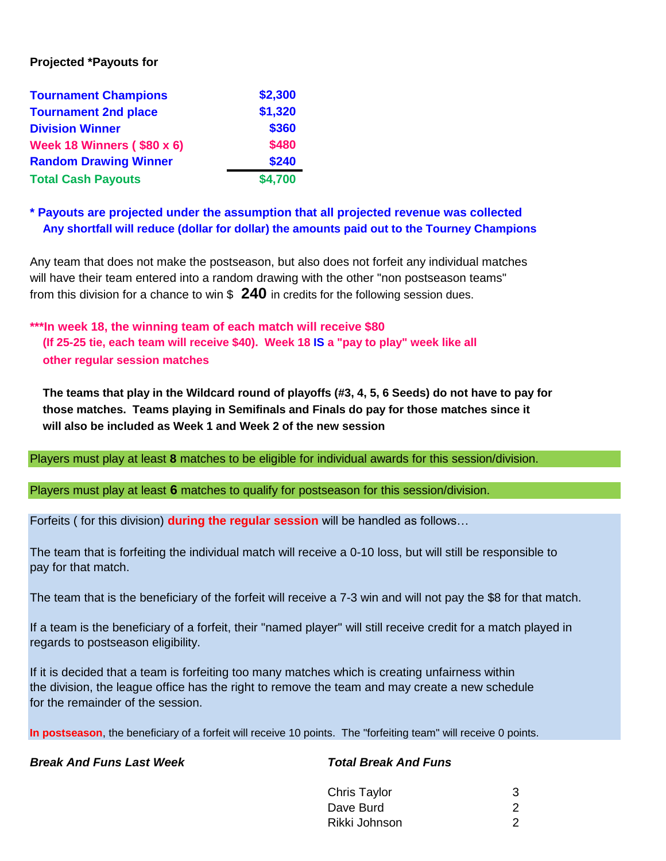# **Projected \*Payouts for**

| <b>Tournament Champions</b>       | \$2,300 |
|-----------------------------------|---------|
| <b>Tournament 2nd place</b>       | \$1,320 |
| <b>Division Winner</b>            | \$360   |
| <b>Week 18 Winners (\$80 x 6)</b> | \$480   |
| <b>Random Drawing Winner</b>      | \$240   |
| <b>Total Cash Payouts</b>         | \$4,700 |

# **\* Payouts are projected under the assumption that all projected revenue was collected Any shortfall will reduce (dollar for dollar) the amounts paid out to the Tourney Champions**

Any team that does not make the postseason, but also does not forfeit any individual matches will have their team entered into a random drawing with the other "non postseason teams" from this division for a chance to win \$ **240** in credits for the following session dues.

**\*\*\*In week 18, the winning team of each match will receive \$80 (If 25-25 tie, each team will receive \$40). Week 18 IS a "pay to play" week like all other regular session matches** 

**The teams that play in the Wildcard round of playoffs (#3, 4, 5, 6 Seeds) do not have to pay for those matches. Teams playing in Semifinals and Finals do pay for those matches since it will also be included as Week 1 and Week 2 of the new session**

Players must play at least **8** matches to be eligible for individual awards for this session/division.

Players must play at least **6** matches to qualify for postseason for this session/division.

Forfeits ( for this division) **during the regular session** will be handled as follows…

The team that is forfeiting the individual match will receive a 0-10 loss, but will still be responsible to pay for that match.

The team that is the beneficiary of the forfeit will receive a 7-3 win and will not pay the \$8 for that match.

If a team is the beneficiary of a forfeit, their "named player" will still receive credit for a match played in regards to postseason eligibility.

If it is decided that a team is forfeiting too many matches which is creating unfairness within the division, the league office has the right to remove the team and may create a new schedule for the remainder of the session.

**In postseason**, the beneficiary of a forfeit will receive 10 points. The "forfeiting team" will receive 0 points.

*Break And Funs Last Week Total Break And Funs*

| Chris Taylor  | 3 |
|---------------|---|
| Dave Burd     | 2 |
| Rikki Johnson |   |